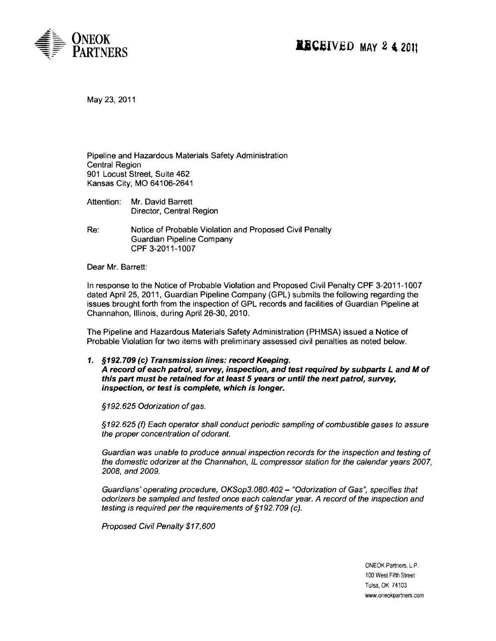

May 23,2011

Pipeline and Hazardous Materials Safety Administration Central Region 901 Locust Street, Suite 462 Kansas City, MO 64106-2641

- Attention: Mr. David Barrett Director, Central Region
- Re: Notice of Probable Violation and Proposed Civil Penalty Guardian Pipeline Company CPF 3-2011-1007

Dear Mr. Barrett:

In response to the Notice of Probable Violation and Proposed Civil Penalty CPF 3-2011-1007 dated April 25, 2011, Guardian Pipeline Company (GPL) submits the following regarding the issues brought forth from the inspection of GPL records and facilities of Guardian Pipeline at Channahon, Illinois, during April 26-30, 2010.

The Pipeline and Hazardous Materials Safety Administration (PHMSA) issued a Notice of Probable Violation for two items with preliminary assessed civil penalties as noted below.

1. §192.709 (c) Transmission lines: record Keeping. A record ofeach patrol, survey, inspection, and test required by subparts Land M of this part must be retained for at least 5 years or until the next patrol, survey, inspection, or test is complete, which is longer.

§192.625 Odorization of gas.

§192.625 (f) Each operator shall conduct periodic sampling of combustible gases to assure the proper concentration of odorant.

Guardian was unable to produce annual inspection records for the inspection and testing of the domestic odorizer at the Channahon, IL compressor station for the calendar years 2007, 2008, and 2009.

Guardians' operating procedure, OKSop3.080.402 - "Odorization of Gas", specifies that odorizers be sampled and tested once each calendar year. A record of the inspection and testing is required per the requirements of §192. 709 (c).

Proposed Civil Penalty \$17,600

ONEOK Partners, LP. 100 West Fifth Street Tulsa, OK 74103 www.oneokpartners.com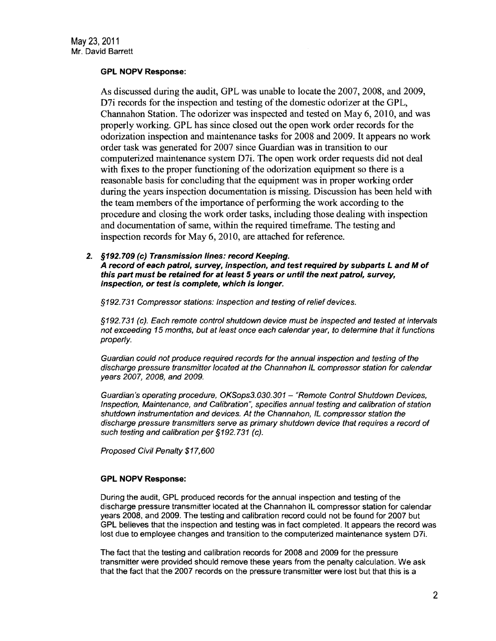## GPL NOPV Response:

As discussed during the audit, GPL was unable to locate the 2007,2008, and 2009, D7i records for the inspection and testing of the domestic odorizer at the GPL, Channahon Station. The odorizer was inspected and tested on May 6, 2010, and was properly working. GPL has since closed out the open work order records for the odorization inspection and maintenance tasks for 2008 and 2009. It appears no work order task was generated for 2007 since Guardian was in transition to our computerized maintenance system D7i. The open work order requests did not deal with fixes to the proper functioning of the odorization equipment so there is a reasonable basis for concluding that the equipment was in proper working order during the years inspection documentation is missing. Discussion has been held with the team members of the importance of performing the work according to the procedure and closing the work order tasks, including those dealing with inspection and documentation of same, within the required timeframe. The testing and inspection records for May 6,2010, are attached for reference.

2. §192.709 (c) Transmission lines: record Keeping. A record of each patrol, survey, inspection, and test required by subparts Land M of this part must be retained for at least 5 years or until the next patrol, survey, inspection, or test is complete, which is longer.

§192.731 Compressor stations: Inspection and testing of relief devices.

§192.731 (c). Each remote control shutdown device must be inspected and tested at intervals not exceeding 15 months, but at least once each calendar year, to determine that it functions properly.

Guardian could not produce required records for the annual inspection and testing ofthe discharge pressure transmitter located at the Channahon IL compressor station for calendar years 2007, 2008, and 2009.

Guardian's operating procedure, OKSops3.030.301 - "Remote Control Shutdown Devices, Inspection, Maintenance, and Calibration", specifies annual testing and calibration ofstation shutdown instrumentation and devices. At the Channahon, IL compressor station the discharge pressure transmitters serve as primary shutdown device that requires a record of such testing and calibration per §192. 731 (c).

Proposed Civil Penalty \$17,600

## GPL NOPV Response:

During the audit, GPL produced records for the annual inspection and testing of the discharge pressure transmitter located at the Channahon IL compressor station for calendar years 2008, and 2009. The testing and calibration record could not be found for 2007 but GPL believes that the inspection and testing was in fact completed. It appears the record was lost due to employee changes and transition to the computerized maintenance system D7i.

The fact that the testing and calibration records for 2008 and 2009 for the pressure transmitter were provided should remove these years from the penalty calculation. We ask that the fact that the 2007 records on the pressure transmitter were lost but that this is a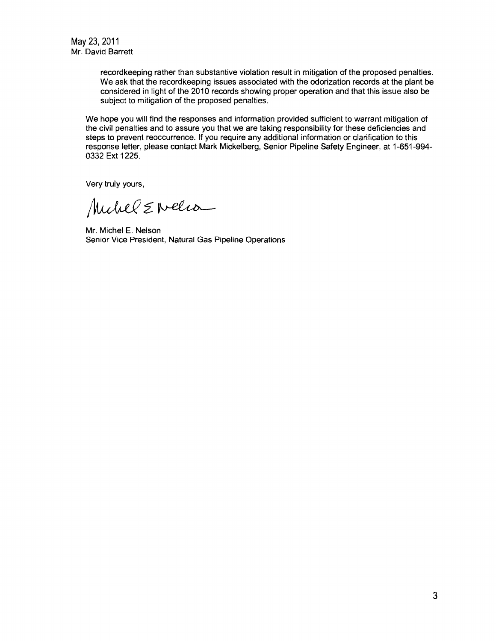recordkeeping rather than substantive violation result in mitigation of the proposed penalties. We ask that the record keeping issues associated with the odorization records at the plant be considered in light of the 2010 records showing proper operation and that this issue also be subject to mitigation of the proposed penalties.

We hope you will find the responses and information provided sufficient to warrant mitigation of the civil penalties and to assure you that we are taking responsibility for these deficiencies and steps to prevent reoccurrence. If you require any additional information or clarification to this response letter, please contact Mark Mickelberg, Senior Pipeline Safety Engineer, at 1-651-994 0332 Ext 1225.

Very truly yours,

Muchel E Nelia

Mr. Michel E. Nelson Senior Vice President, Natural Gas Pipeline Operations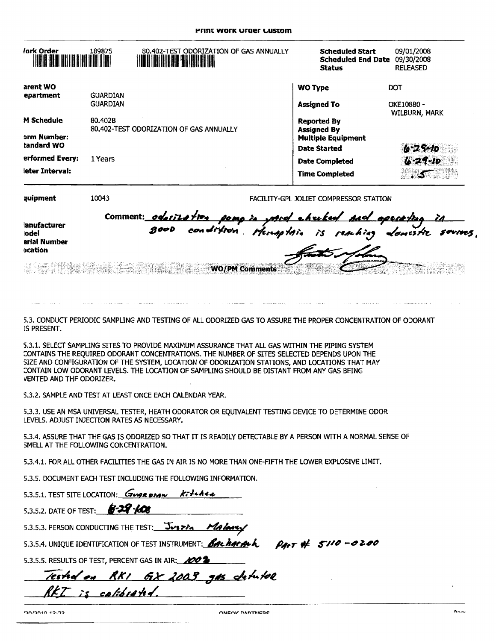| <i>lork</i> Order                | 189875          | 80.402-TEST ODORIZATION OF GAS ANNUALLY<br><b>THE REAL PROPERTY</b> | <b>Scheduled Start</b><br><b>Scheduled End Date</b><br><b>Status</b>  | 09/01/2008<br>09/30/2008<br><b>RELEASED</b> |
|----------------------------------|-----------------|---------------------------------------------------------------------|-----------------------------------------------------------------------|---------------------------------------------|
| arent WO<br>epartment            | <b>GUARDIAN</b> |                                                                     | <b>WO Type</b>                                                        | <b>DOT</b>                                  |
|                                  | <b>GUARDIAN</b> |                                                                     | <b>Assigned To</b>                                                    | OKE10880 -<br>WILBURN, MARK                 |
| <b>M</b> Schedule<br>orm Number: | 80.402B         | 80,402-TEST ODORIZATION OF GAS ANNUALLY                             | <b>Reported By</b><br><b>Assigned By</b><br><b>Multiple Equipment</b> |                                             |
| tandard WO                       |                 |                                                                     | <b>Date Started</b>                                                   | $6 - 25 - 10$                               |
| erformed Every:                  | 1 Years         |                                                                     | <b>Date Completed</b>                                                 | $6 - 29 - 10$                               |
| leter Interval:                  |                 |                                                                     | <b>Time Completed</b>                                                 |                                             |
| quipment                         | 10043           |                                                                     | FACILITY-GPL JOLIET COMPRESSOR STATION                                |                                             |

|                              | comment: oderilation pomp in mord churked And operating in |
|------------------------------|------------------------------------------------------------|
| lanufacturer<br><b>lodel</b> | good condition. Humpton is rembing domistic sources.       |
| erial Number<br>ocation      | Kath Mohn                                                  |
|                              | <b>WO/PM Comments</b>                                      |

5.3. CONDUCT PERIODIC SAMPLING AND TESTING OF ALL ODORIZED GAS TO ASSURE THE PROPER CONCENTRATION OF ODORANT IS PRESENT.

5.3.1. SELECT SAMPLING SITES TO PROVIDE MAXIMUM ASSURANCE THAT ALL GAS WITHIN THE PIPING SYSTEM CONTAINS THE REQUIRED ODORANT CONCENTRATIONS. THE NUMBER OF SITES SELECTED DEPENDS UPON THE SIZE AND CONFIGURATION OF THE SYSTEM, LOCATION OF ODORIZATION STATIONS, AND LOCATIONS THAT MAY CONTAIN LOW ODORANT LEVELS. THE LOCATION OF SAMPLING SHOULD BE DISTANT FROM ANY GAS BEING VENTED AND THE ODORIZER.

5.3.2. SAMPLE AND TEST AT LEAST ONCE EACH CALENDAR YEAR.

5.3.3. USE AN MSA UNIVERSAL TESTER, HEATH ODORATOR OR EQUIVALENT TESTING DEVICE TO DETERMINE ODOR LEVELS. ADJUST INJECTION RATES AS NECESSARY.

5.3.4. ASSURE THAT THE GAS IS ODORIZED SO THAT IT IS READILY DETECTABLE BY A PERSON WITH A NORMAL SENSE OF SMELL AT THE FOLLOWING CONCENTRATION.

5.3.4.1. FOR ALL OTHER FACILITIES THE GAS IN AIR IS NO MORE THAN ONE-FIFTH THE LOWER EXPLOSIVE LIMIT.

5.3.5. DOCUMENT EACH TEST INCLUDING THE FOLLOWING INFORMATION.

5.3.5.1. TEST SITE LOCATION: GUARDIAN Kitchen

 $6 - 29 - 608$ 5.3.5.2. DATE OF TEST:

5.3.5.3. PERSON CONDUCTING THE TEST: JUSTIN Malangy

5.3.5.4. UNIQUE IDENTIFICATION OF TEST INSTRUMENT: *Bachardeh Pact* # 5110 -0200

5.3.5.5. RESULTS OF TEST. PERCENT GAS IN AIR: 2002

Tested on RKI GX 2003 gas detatel is calibrated.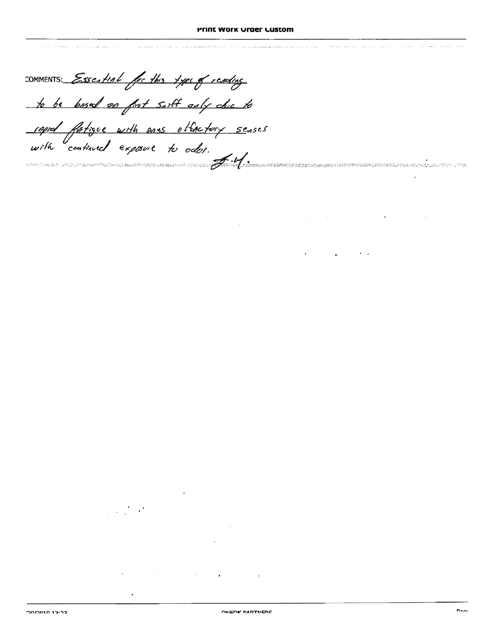$\label{eq:2.1} \mathcal{L}(\mathcal{H})\left(\mathcal{H}(\mathcal{H})\right)=\mathcal{L}(\mathcal{H})\left(\mathcal{H}(\mathcal{H})\right)=\mathcal{H}(\mathcal{H})\left(\mathcal{H}(\mathcal{H})\right)$ 

 $\mathbf{A}^{(n)}$  and  $\mathbf{A}^{(n)}$  are the set of the  $\mathbf{A}^{(n)}$ 

COMMENTS: Essestial for this type of reputing to be bosed on first sailt only che to raped fatigue with ans other for senses 

**Contract Contract** 

 $\ddot{\phantom{1}}$ 

 $\label{eq:2} \frac{1}{2} \left( \frac{1}{2} \frac{1}{2} \frac{1}{2} \frac{1}{2} \frac{1}{2} \frac{1}{2} \frac{1}{2} \frac{1}{2} \frac{1}{2} \frac{1}{2} \frac{1}{2} \frac{1}{2} \frac{1}{2} \frac{1}{2} \frac{1}{2} \frac{1}{2} \frac{1}{2} \frac{1}{2} \frac{1}{2} \frac{1}{2} \frac{1}{2} \frac{1}{2} \frac{1}{2} \frac{1}{2} \frac{1}{2} \frac{1}{2} \frac{1}{2} \frac{1}{2} \frac{1}{2}$  $\mathcal{L}^{\text{max}}_{\text{max}}$  ,  $\mathcal{L}^{\text{max}}_{\text{max}}$ 

 $\mathcal{L}^{\mathcal{L}}(\mathcal{L}^{\mathcal{L}}(\mathcal{L}^{\mathcal{L}}(\mathcal{L}^{\mathcal{L}}(\mathcal{L}^{\mathcal{L}}(\mathcal{L}^{\mathcal{L}}(\mathcal{L}^{\mathcal{L}}(\mathcal{L}^{\mathcal{L}}(\mathcal{L}^{\mathcal{L}}(\mathcal{L}^{\mathcal{L}}(\mathcal{L}^{\mathcal{L}}(\mathcal{L}^{\mathcal{L}}(\mathcal{L}^{\mathcal{L}}(\mathcal{L}^{\mathcal{L}}(\mathcal{L}^{\mathcal{L}}(\mathcal{L}^{\mathcal{L}}(\mathcal{L}^{\mathcal{L$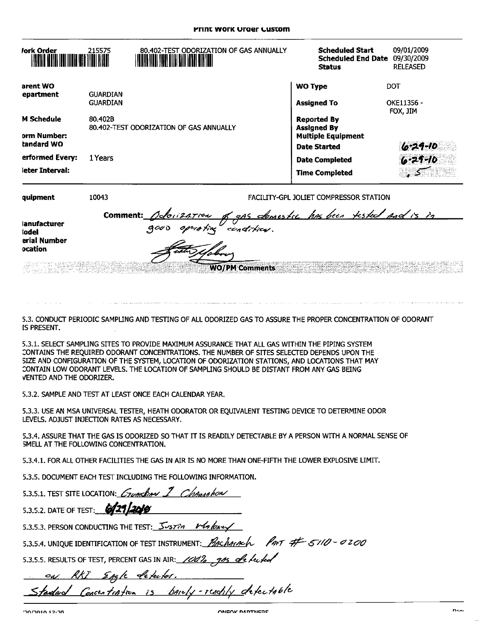| Jork Order                       | 215575          | 80.402-TEST ODORIZATION OF GAS ANNUALLY<br><b>HERE'S IN THE EXPLORER IN THE STATE OF THE EXPLORER IN</b> | <b>Scheduled Start</b><br><b>Scheduled End Date</b><br><b>Status</b>  | 09/01/2009<br>09/30/2009<br><b>RELEASED</b> |
|----------------------------------|-----------------|----------------------------------------------------------------------------------------------------------|-----------------------------------------------------------------------|---------------------------------------------|
| arent WO<br>epartment            | <b>GUARDIAN</b> |                                                                                                          | <b>WO Type</b>                                                        | DOT                                         |
|                                  | <b>GUARDIAN</b> |                                                                                                          | <b>Assigned To</b>                                                    | OKE11356 -<br>FOX JIM                       |
| <b>M Schedule</b><br>orm Number: | 80.402B         | 80.402-TEST ODORIZATION OF GAS ANNUALLY                                                                  | <b>Reported By</b><br><b>Assigned By</b><br><b>Multiple Equipment</b> |                                             |
| tandard WO                       |                 |                                                                                                          | <b>Date Started</b>                                                   | $6 - 29 - 10$                               |
| erformed Every:                  | 1 Years         |                                                                                                          | <b>Date Completed</b>                                                 | $6 - 29 - 10$                               |
| leter Interval:                  |                 |                                                                                                          | <b>Time Completed</b>                                                 |                                             |
| quipment                         | 10043           |                                                                                                          | FACILITY-GPL JOLIET COMPRESSOR STATION                                |                                             |

| lanufacturer<br>lodel<br>erial Number<br>ocation | comment: Adoisation of gas clomestic has been tested and is in<br>operating condition.<br>4000                         |
|--------------------------------------------------|------------------------------------------------------------------------------------------------------------------------|
|                                                  | <b>WOTPN Comments</b> and the second comments and the second comments of the second contract of the second contract of |

5.3. CONDUCT PERIODIC SAMPLING AND TESTING OF ALL ODORIZED GAS TO ASSURE THE PROPER CONCENTRATION OF ODORANT IS PRESENT.

5.3.1. SELECT SAMPLING SITES TO PROVIDE MAXIMUM ASSURANCE THAT ALL GAS WITHIN THE PIPING SYSTEM CONTAINS THE REQUIRED ODORANT CONCENTRATIONS. THE NUMBER OF SITES SELECTED DEPENDS UPON THE SIZE AND CONFIGURATION OF THE SYSTEM, LOCATION OF ODORIZATION STATIONS, AND LOCATIONS THAT MAY CONTAIN LOW ODORANT LEVELS. THE LOCATION OF SAMPLING SHOULD BE DISTANT FROM ANY GAS BEING VENTED AND THE ODORIZER.

5.3.2. SAMPLE AND TEST AT LEAST ONCE EACH CALENDAR YEAR.

5.3.3. USE AN MSA UNIVERSAL TESTER, HEATH ODORATOR OR EQUIVALENT TESTING DEVICE TO DETERMINE ODOR LEVELS. ADJUST INJECTION RATES AS NECESSARY.

5.3.4. ASSURE THAT THE GAS IS ODORIZED SO THAT IT IS READILY DETECTABLE BY A PERSON WITH A NORMAL SENSE OF SMELL AT THE FOLLOWING CONCENTRATION.

5.3.4.1. FOR ALL OTHER FACILITIES THE GAS IN AIR IS NO MORE THAN ONE-FIFTH THE LOWER EXPLOSIVE LIMIT.

5.3.5. DOCUMENT EACH TEST INCLUDING THE FOLLOWING INFORMATION.

| 5.3.5.1. TEST SITE LOCATION: Crunchon 1 Change how                                     |
|----------------------------------------------------------------------------------------|
| 5.3.5.2. DATE OF TEST: 6/21/2010                                                       |
| 5.3.5.3. PERSON CONDUCTING THE TEST: 5-5774 Menter                                     |
| 5.3.5.4. UNIQUE IDENTIFICATION OF TEST INSTRUMENT: <i>BACHARACH PART # 5110 - 0200</i> |
| 5.3.5.5. RESULTS OF TEST, PERCENT GAS IN AIR: 1002, 915 de fected                      |
| on RKI Engle detector.                                                                 |
| Standard Concentration is bandly-readily defectable                                    |

and a straight and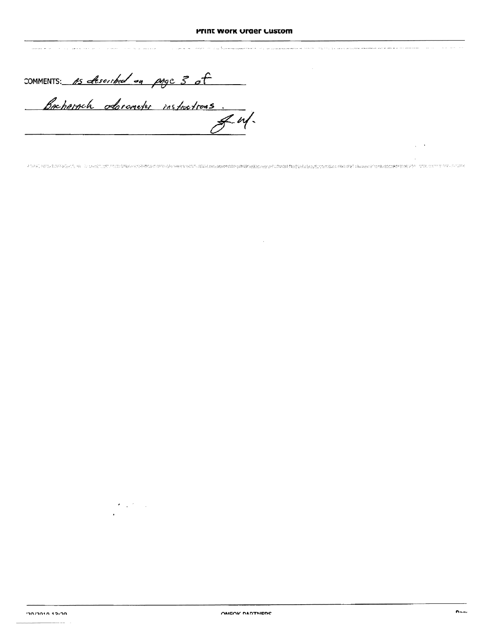and the movement of the second service of the communication of the control of the consequent and the service of the service of the service of the service of the service of the service of the service of the service of the s

comments: As cheeribed on page 3 of

.<br>Delenario de l'antico della calculazione di transformazione di controllere di transformazione della calculazion

 $\alpha$ 

 $\mathcal{F}(\mathcal{A})$  ,  $\mathcal{F}(\mathcal{A})$ 

 $\hat{z}$  is a single  $\hat{z}$ 

 $\sqrt{1-\lambda}$  $\sim$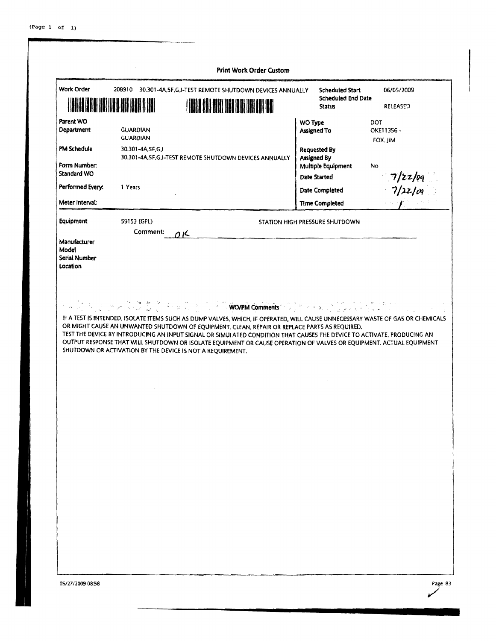| <b>Work Order</b><br><b>MANA</b><br>₩  |                                    | 208910 30.301-4A, SF, G, I-TEST REMOTE SHUTDOWN DEVICES ANNUALLY                                                                                                                                                                                                                                                                                                                                                                                                            | <b>Scheduled Start</b><br><b>Scheduled End Date</b><br><b>Status</b> | 06/05/2009<br><b>RELEASED</b>                                                                                                  |
|----------------------------------------|------------------------------------|-----------------------------------------------------------------------------------------------------------------------------------------------------------------------------------------------------------------------------------------------------------------------------------------------------------------------------------------------------------------------------------------------------------------------------------------------------------------------------|----------------------------------------------------------------------|--------------------------------------------------------------------------------------------------------------------------------|
| Parent WO<br>Department                | <b>GUARDIAN</b><br><b>GUARDIAN</b> |                                                                                                                                                                                                                                                                                                                                                                                                                                                                             | WO Type<br><b>Assigned To</b>                                        | DOT<br>OKE11356-<br>FOX. JIM                                                                                                   |
| <b>PM Schedule</b><br>Form Number:     | 30.301-4A, SF, G, I                | 30.301-4A,5F,G,I-TEST REMOTE SHUTDOWN DEVICES ANNUALLY                                                                                                                                                                                                                                                                                                                                                                                                                      | <b>Requested By</b><br>Assigned By<br>Multiple Equipment             | No                                                                                                                             |
| <b>Standard WO</b><br>Performed Every: | 1 Years                            |                                                                                                                                                                                                                                                                                                                                                                                                                                                                             | <b>Date Started</b>                                                  | 7/22/09<br>7/22/09                                                                                                             |
| Meter Interval:                        |                                    |                                                                                                                                                                                                                                                                                                                                                                                                                                                                             | Date Completed                                                       |                                                                                                                                |
| Equipment                              | 59153 (GPL)                        |                                                                                                                                                                                                                                                                                                                                                                                                                                                                             | <b>Time Completed</b>                                                |                                                                                                                                |
| Manufacturer<br>Model<br>Serial Number | Comment:                           | 0 <sup>K</sup>                                                                                                                                                                                                                                                                                                                                                                                                                                                              |                                                                      |                                                                                                                                |
|                                        |                                    | トップ ちょうと 英彦 やまちょう 下 <sup>を合</sup> Work Comments できゃくほうほうしょう<br>OR MIGHT CAUSE AN UNWANTED SHUTDOWN OF EQUIPMENT. CLEAN, REPAIR OR REPLACE PARTS AS REQUIRED.<br>TEST THE DEVICE BY INTRODUCING AN INPUT SIGNAL OR SIMULATED CONDITION THAT CAUSES THE DEVICE TO ACTIVATE, PRODUCING AN<br>OUTPUT RESPONSE THAT WILL SHUTDOWN OR ISOLATE EQUIPMENT OR CAUSE OPERATION OF VALVES OR EQUIPMENT. ACTUAL EQUIPMENT<br>SHUTDOWN OR ACTIVATION BY THE DEVICE IS NOT A REQUIREMENT. |                                                                      |                                                                                                                                |
|                                        |                                    |                                                                                                                                                                                                                                                                                                                                                                                                                                                                             |                                                                      |                                                                                                                                |
|                                        |                                    |                                                                                                                                                                                                                                                                                                                                                                                                                                                                             |                                                                      | IF A TEST IS INTENDED, ISOLATE ITEMS SUCH AS DUMP VALVES, WHICH, IF OPERATED, WILL CAUSE UNNECESSARY WASTE OF GAS OR CHEMICALS |
|                                        |                                    |                                                                                                                                                                                                                                                                                                                                                                                                                                                                             |                                                                      |                                                                                                                                |
|                                        |                                    |                                                                                                                                                                                                                                                                                                                                                                                                                                                                             |                                                                      |                                                                                                                                |
| Location                               |                                    |                                                                                                                                                                                                                                                                                                                                                                                                                                                                             |                                                                      |                                                                                                                                |